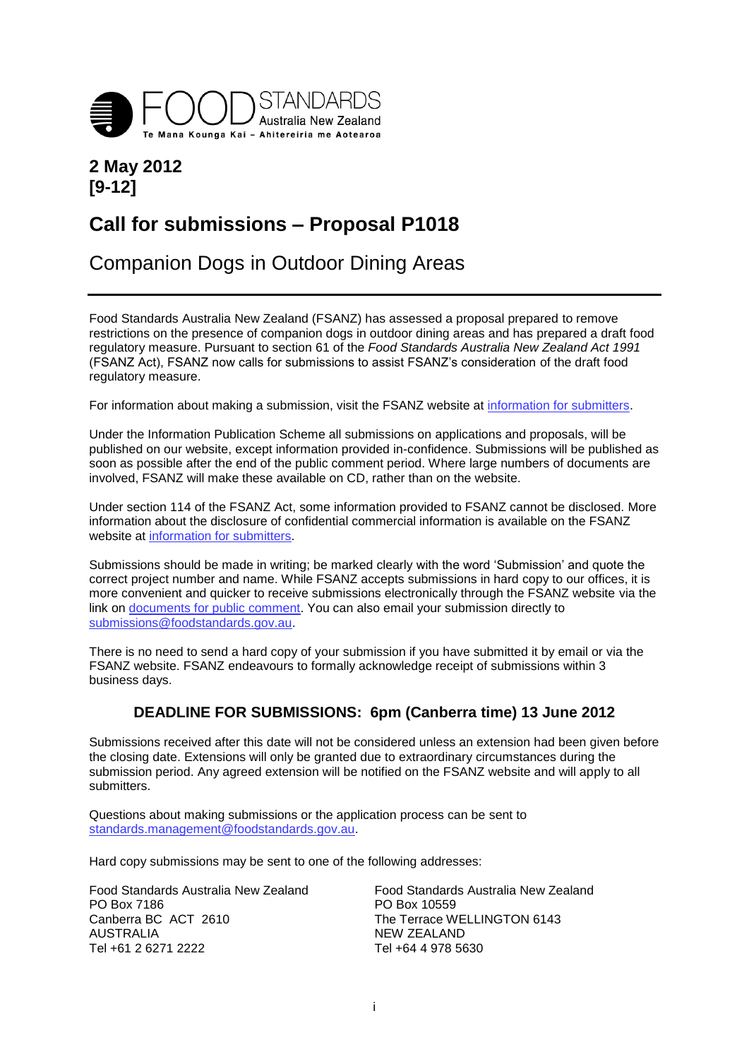

# **2 May 2012 [9-12]**

# **Call for submissions – Proposal P1018**

# Companion Dogs in Outdoor Dining Areas

Food Standards Australia New Zealand (FSANZ) has assessed a proposal prepared to remove restrictions on the presence of companion dogs in outdoor dining areas and has prepared a draft food regulatory measure. Pursuant to section 61 of the *Food Standards Australia New Zealand Act 1991*  (FSANZ Act), FSANZ now calls for submissions to assist FSANZ's consideration of the draft food regulatory measure.

For information about making a submission, visit the FSANZ website at [information for submitters.](http://www.foodstandards.gov.au/foodstandards/changingthecode/informationforsubmit1129.cfm)

Under the Information Publication Scheme all submissions on applications and proposals, will be published on our website, except information provided in-confidence. Submissions will be published as soon as possible after the end of the public comment period. Where large numbers of documents are involved, FSANZ will make these available on CD, rather than on the website.

Under section 114 of the FSANZ Act, some information provided to FSANZ cannot be disclosed. More information about the disclosure of confidential commercial information is available on the FSANZ website at [information for submitters.](http://www.foodstandards.gov.au/foodstandards/changingthecode/informationforsubmit1129.cfm)

Submissions should be made in writing; be marked clearly with the word 'Submission' and quote the correct project number and name. While FSANZ accepts submissions in hard copy to our offices, it is more convenient and quicker to receive submissions electronically through the FSANZ website via the link on [documents for public comment.](http://www.foodstandards.gov.au/foodstandards/changingthecode/documentsforpublicco868.cfm) You can also email your submission directly to [submissions@foodstandards.gov.au.](mailto:submissions@foodstandards.gov.au)

There is no need to send a hard copy of your submission if you have submitted it by email or via the FSANZ website. FSANZ endeavours to formally acknowledge receipt of submissions within 3 business days.

## **DEADLINE FOR SUBMISSIONS: 6pm (Canberra time) 13 June 2012**

Submissions received after this date will not be considered unless an extension had been given before the closing date. Extensions will only be granted due to extraordinary circumstances during the submission period. Any agreed extension will be notified on the FSANZ website and will apply to all submitters.

Questions about making submissions or the application process can be sent to [standards.management@foodstandards.gov.au.](mailto:standards.management@foodstandards.gov.au)

Hard copy submissions may be sent to one of the following addresses:

| Food Standards Australia New Zealand | Food Standards Australia New Zealand |  |
|--------------------------------------|--------------------------------------|--|
| PO Box 7186                          | PO Box 10559                         |  |
| Canberra BC ACT 2610                 | The Terrace WELLINGTON 6143          |  |
| AUSTRALIA                            | NEW ZEALAND                          |  |
| Tel +61 2 6271 2222                  | Tel +64 4 978 5630                   |  |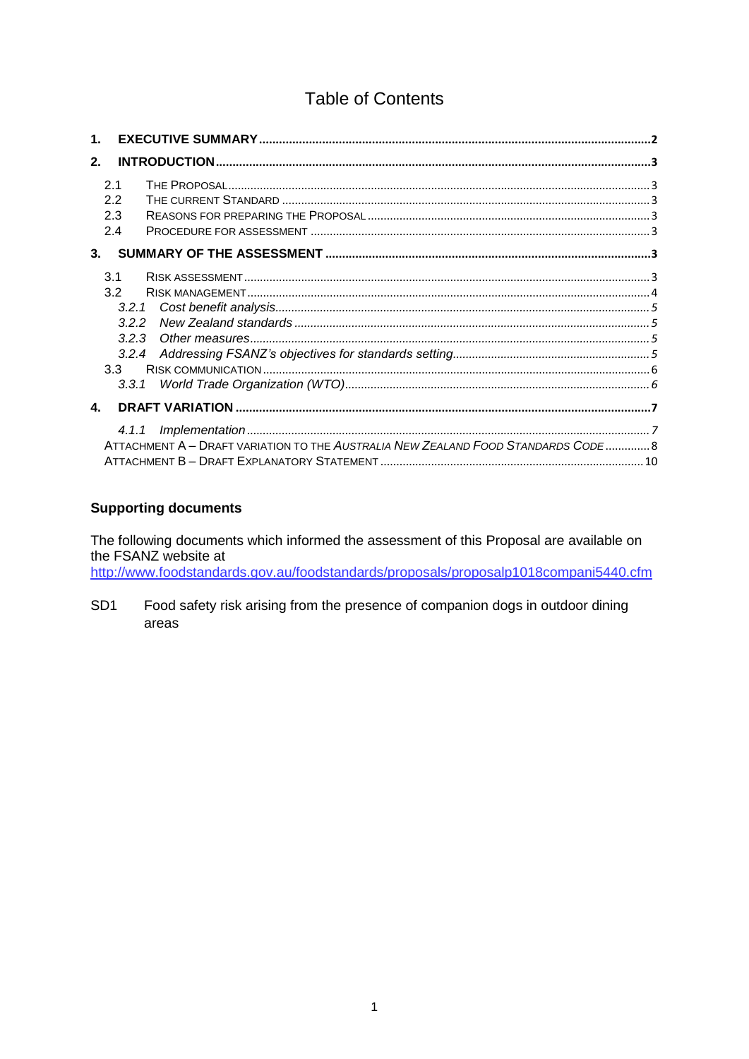# **Table of Contents**

| $\mathbf 1$ |                                                                |                                                                                   |  |
|-------------|----------------------------------------------------------------|-----------------------------------------------------------------------------------|--|
| 2.          |                                                                |                                                                                   |  |
|             | 2.1<br>2.2<br>2.3<br>2.4                                       |                                                                                   |  |
| $3-$        |                                                                |                                                                                   |  |
|             | 3.1<br>3.2<br>3.2.1<br>3.2.2<br>3.2.3<br>3.2.4<br>3.3<br>3.3.1 |                                                                                   |  |
| 4.          |                                                                |                                                                                   |  |
|             |                                                                | ATTACHMENT A - DRAFT VARIATION TO THE AUSTRALIA NEW ZEALAND FOOD STANDARDS CODE 8 |  |

#### **Supporting documents**

The following documents which informed the assessment of this Proposal are available on the FSANZ website at

http://www.foodstandards.gov.au/foodstandards/proposals/proposalp1018compani5440.cfm

SD<sub>1</sub> Food safety risk arising from the presence of companion dogs in outdoor dining areas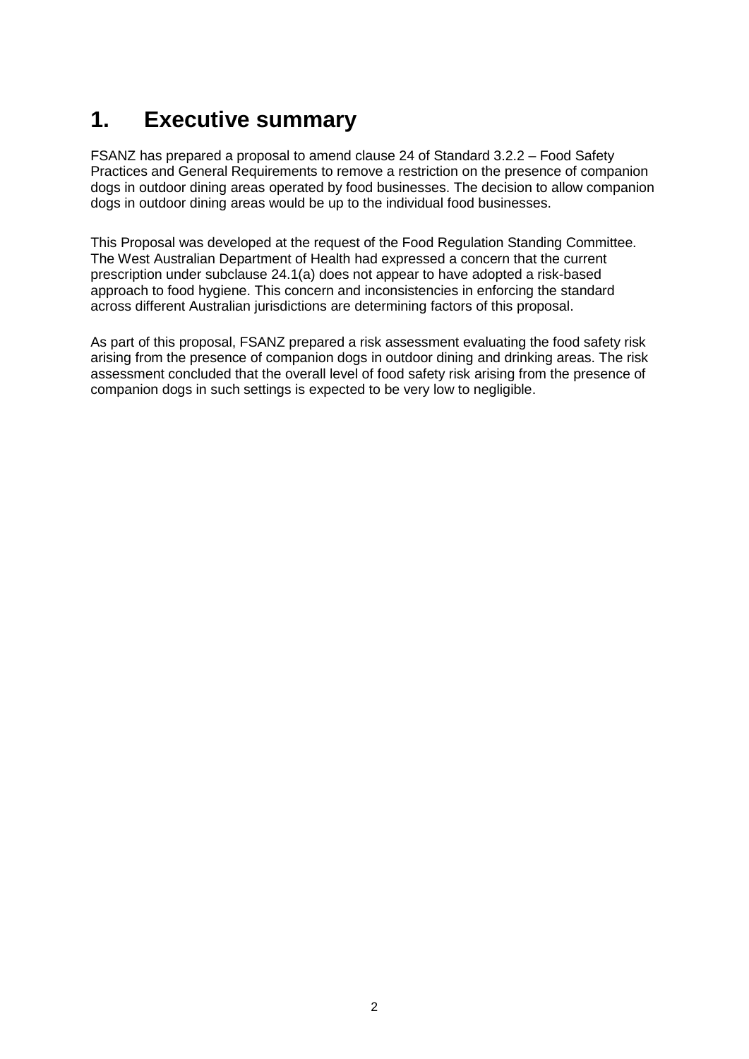# <span id="page-2-0"></span>**1. Executive summary**

FSANZ has prepared a proposal to amend clause 24 of Standard 3.2.2 – Food Safety Practices and General Requirements to remove a restriction on the presence of companion dogs in outdoor dining areas operated by food businesses. The decision to allow companion dogs in outdoor dining areas would be up to the individual food businesses.

This Proposal was developed at the request of the Food Regulation Standing Committee. The West Australian Department of Health had expressed a concern that the current prescription under subclause 24.1(a) does not appear to have adopted a risk-based approach to food hygiene. This concern and inconsistencies in enforcing the standard across different Australian jurisdictions are determining factors of this proposal.

As part of this proposal, FSANZ prepared a risk assessment evaluating the food safety risk arising from the presence of companion dogs in outdoor dining and drinking areas. The risk assessment concluded that the overall level of food safety risk arising from the presence of companion dogs in such settings is expected to be very low to negligible.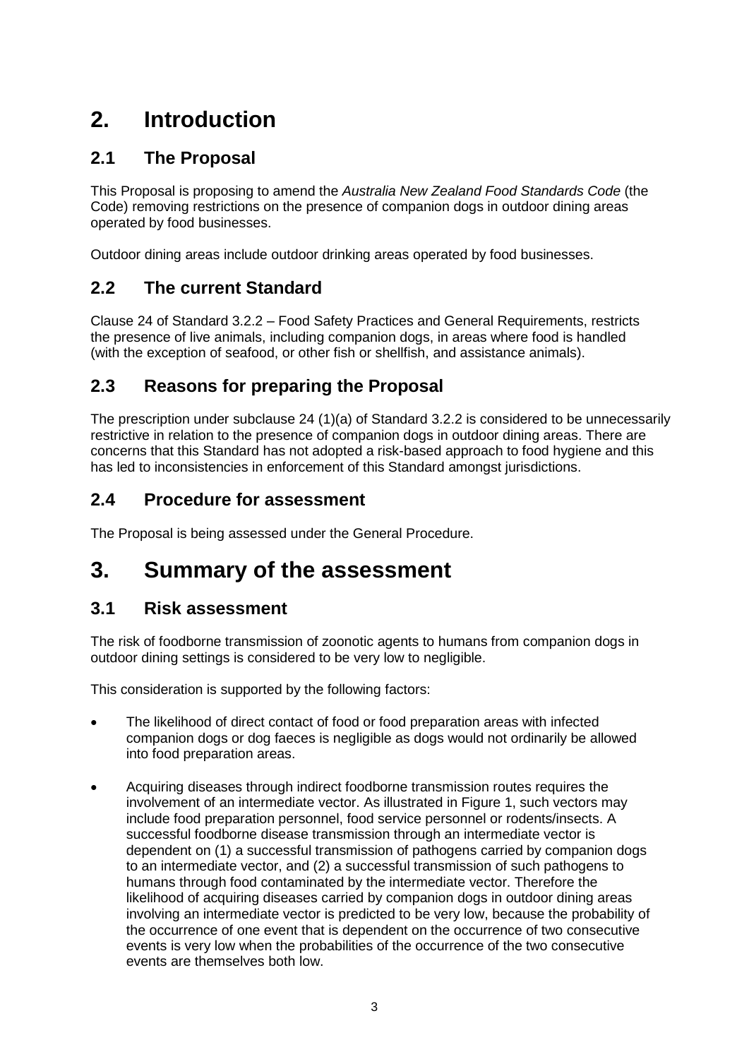# <span id="page-3-0"></span>**2. Introduction**

# <span id="page-3-1"></span>**2.1 The Proposal**

This Proposal is proposing to amend the *Australia New Zealand Food Standards Code* (the Code) removing restrictions on the presence of companion dogs in outdoor dining areas operated by food businesses.

Outdoor dining areas include outdoor drinking areas operated by food businesses.

# <span id="page-3-2"></span>**2.2 The current Standard**

Clause 24 of Standard 3.2.2 – Food Safety Practices and General Requirements, restricts the presence of live animals, including companion dogs, in areas where food is handled (with the exception of seafood, or other fish or shellfish, and assistance animals).

# <span id="page-3-3"></span>**2.3 Reasons for preparing the Proposal**

The prescription under subclause 24 (1)(a) of Standard 3.2.2 is considered to be unnecessarily restrictive in relation to the presence of companion dogs in outdoor dining areas. There are concerns that this Standard has not adopted a risk-based approach to food hygiene and this has led to inconsistencies in enforcement of this Standard amongst jurisdictions.

## <span id="page-3-4"></span>**2.4 Procedure for assessment**

The Proposal is being assessed under the General Procedure.

# <span id="page-3-5"></span>**3. Summary of the assessment**

## <span id="page-3-6"></span>**3.1 Risk assessment**

The risk of foodborne transmission of zoonotic agents to humans from companion dogs in outdoor dining settings is considered to be very low to negligible.

This consideration is supported by the following factors:

- The likelihood of direct contact of food or food preparation areas with infected companion dogs or dog faeces is negligible as dogs would not ordinarily be allowed into food preparation areas.
- Acquiring diseases through indirect foodborne transmission routes requires the involvement of an intermediate vector. As illustrated in Figure 1, such vectors may include food preparation personnel, food service personnel or rodents/insects. A successful foodborne disease transmission through an intermediate vector is dependent on (1) a successful transmission of pathogens carried by companion dogs to an intermediate vector, and (2) a successful transmission of such pathogens to humans through food contaminated by the intermediate vector. Therefore the likelihood of acquiring diseases carried by companion dogs in outdoor dining areas involving an intermediate vector is predicted to be very low, because the probability of the occurrence of one event that is dependent on the occurrence of two consecutive events is very low when the probabilities of the occurrence of the two consecutive events are themselves both low.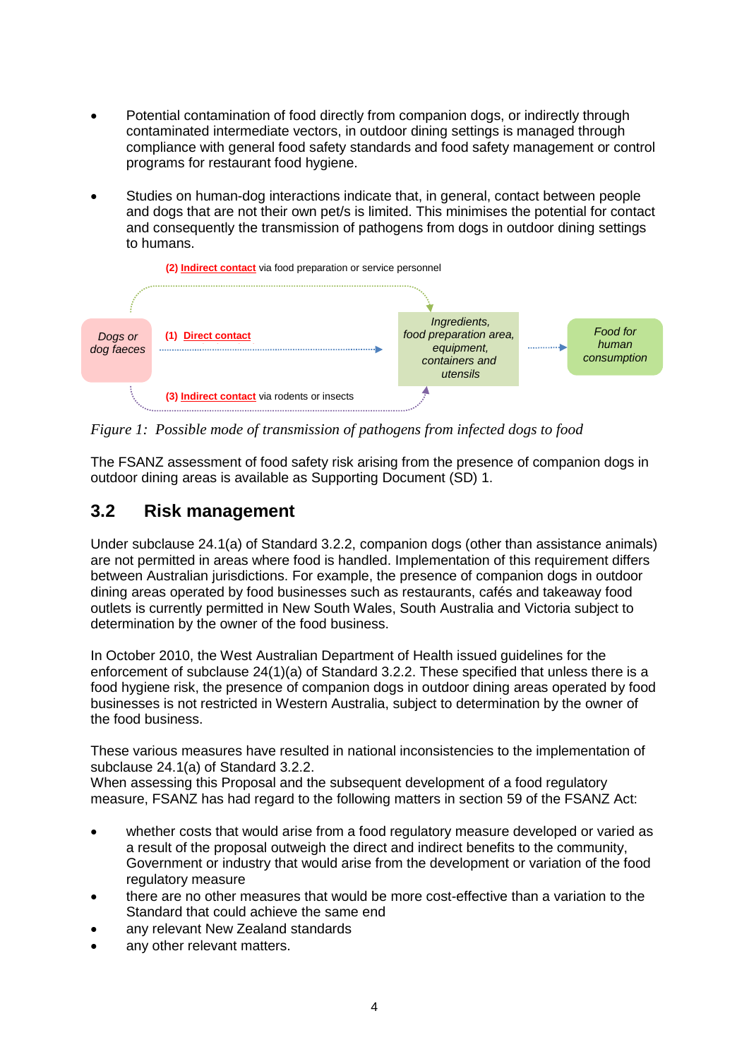- Potential contamination of food directly from companion dogs, or indirectly through contaminated intermediate vectors, in outdoor dining settings is managed through compliance with general food safety standards and food safety management or control programs for restaurant food hygiene.
- Studies on human-dog interactions indicate that, in general, contact between people and dogs that are not their own pet/s is limited. This minimises the potential for contact and consequently the transmission of pathogens from dogs in outdoor dining settings to humans.



*Figure 1: Possible mode of transmission of pathogens from infected dogs to food*

The FSANZ assessment of food safety risk arising from the presence of companion dogs in outdoor dining areas is available as Supporting Document (SD) 1.

# <span id="page-4-0"></span>**3.2 Risk management**

Under subclause 24.1(a) of Standard 3.2.2, companion dogs (other than assistance animals) are not permitted in areas where food is handled. Implementation of this requirement differs between Australian jurisdictions. For example, the presence of companion dogs in outdoor dining areas operated by food businesses such as restaurants, cafés and takeaway food outlets is currently permitted in New South Wales, South Australia and Victoria subject to determination by the owner of the food business.

In October 2010, the West Australian Department of Health issued guidelines for the enforcement of subclause 24(1)(a) of Standard 3.2.2. These specified that unless there is a food hygiene risk, the presence of companion dogs in outdoor dining areas operated by food businesses is not restricted in Western Australia, subject to determination by the owner of the food business.

These various measures have resulted in national inconsistencies to the implementation of subclause 24.1(a) of Standard 3.2.2.

When assessing this Proposal and the subsequent development of a food regulatory measure, FSANZ has had regard to the following matters in section 59 of the FSANZ Act:

- whether costs that would arise from a food regulatory measure developed or varied as a result of the proposal outweigh the direct and indirect benefits to the community, Government or industry that would arise from the development or variation of the food regulatory measure
- there are no other measures that would be more cost-effective than a variation to the Standard that could achieve the same end
- any relevant New Zealand standards
- any other relevant matters.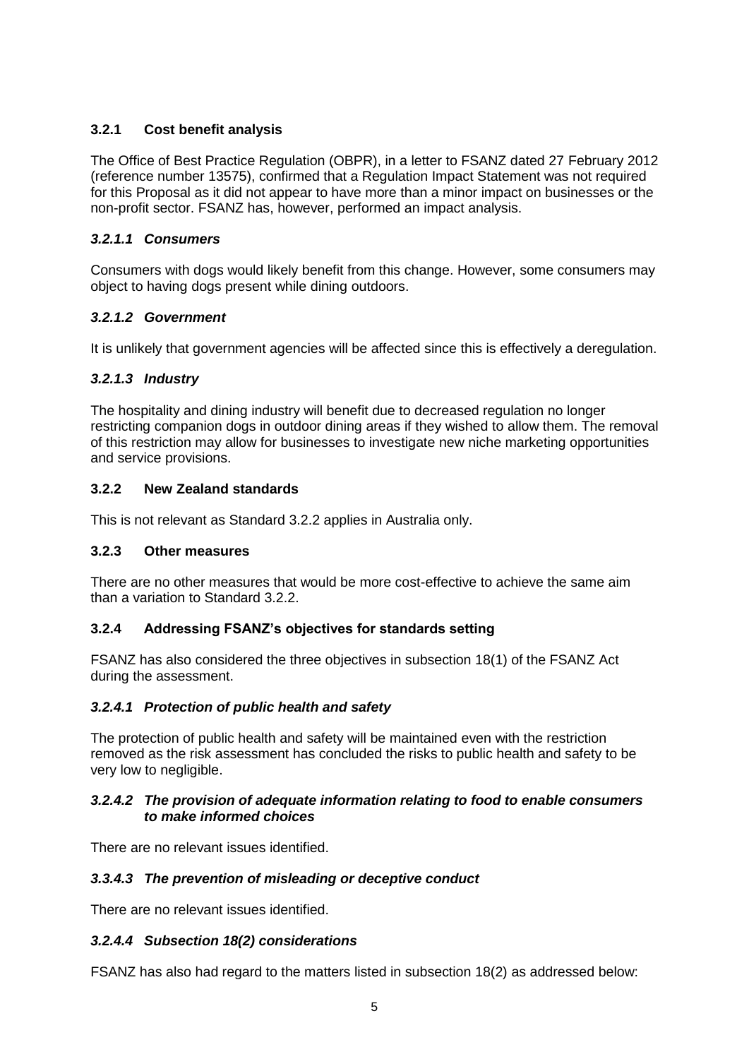## <span id="page-5-0"></span>**3.2.1 Cost benefit analysis**

The Office of Best Practice Regulation (OBPR), in a letter to FSANZ dated 27 February 2012 (reference number 13575), confirmed that a Regulation Impact Statement was not required for this Proposal as it did not appear to have more than a minor impact on businesses or the non-profit sector. FSANZ has, however, performed an impact analysis.

### *3.2.1.1 Consumers*

Consumers with dogs would likely benefit from this change. However, some consumers may object to having dogs present while dining outdoors.

## *3.2.1.2 Government*

It is unlikely that government agencies will be affected since this is effectively a deregulation.

## *3.2.1.3 Industry*

The hospitality and dining industry will benefit due to decreased regulation no longer restricting companion dogs in outdoor dining areas if they wished to allow them. The removal of this restriction may allow for businesses to investigate new niche marketing opportunities and service provisions.

### <span id="page-5-1"></span>**3.2.2 New Zealand standards**

This is not relevant as Standard 3.2.2 applies in Australia only.

### <span id="page-5-2"></span>**3.2.3 Other measures**

There are no other measures that would be more cost-effective to achieve the same aim than a variation to Standard 3.2.2.

### <span id="page-5-3"></span>**3.2.4 Addressing FSANZ's objectives for standards setting**

FSANZ has also considered the three objectives in subsection 18(1) of the FSANZ Act during the assessment.

### *3.2.4.1 Protection of public health and safety*

The protection of public health and safety will be maintained even with the restriction removed as the risk assessment has concluded the risks to public health and safety to be very low to negligible.

#### *3.2.4.2 The provision of adequate information relating to food to enable consumers to make informed choices*

There are no relevant issues identified.

### *3.3.4.3 The prevention of misleading or deceptive conduct*

There are no relevant issues identified.

### *3.2.4.4 Subsection 18(2) considerations*

FSANZ has also had regard to the matters listed in subsection 18(2) as addressed below: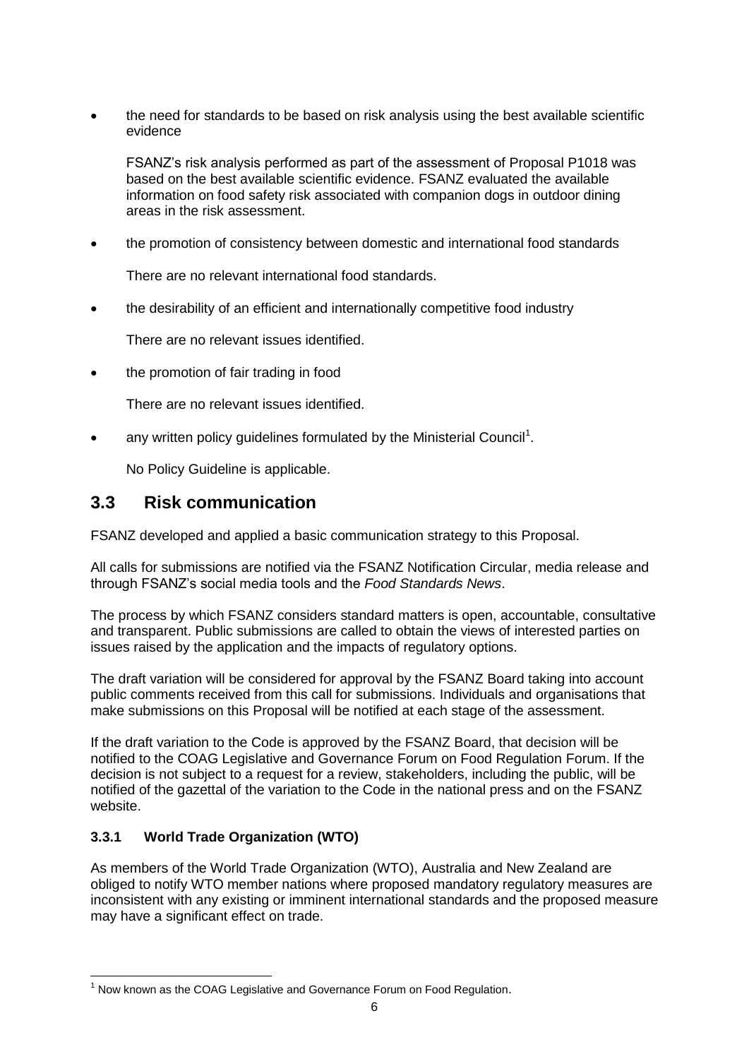the need for standards to be based on risk analysis using the best available scientific evidence

FSANZ's risk analysis performed as part of the assessment of Proposal P1018 was based on the best available scientific evidence. FSANZ evaluated the available information on food safety risk associated with companion dogs in outdoor dining areas in the risk assessment.

the promotion of consistency between domestic and international food standards

There are no relevant international food standards.

the desirability of an efficient and internationally competitive food industry

There are no relevant issues identified.

• the promotion of fair trading in food

There are no relevant issues identified.

 $\bullet$  any written policy guidelines formulated by the Ministerial Council<sup>1</sup>.

No Policy Guideline is applicable.

## <span id="page-6-0"></span>**3.3 Risk communication**

FSANZ developed and applied a basic communication strategy to this Proposal.

All calls for submissions are notified via the FSANZ Notification Circular, media release and through FSANZ's social media tools and the *Food Standards News*.

The process by which FSANZ considers standard matters is open, accountable, consultative and transparent. Public submissions are called to obtain the views of interested parties on issues raised by the application and the impacts of regulatory options.

The draft variation will be considered for approval by the FSANZ Board taking into account public comments received from this call for submissions. Individuals and organisations that make submissions on this Proposal will be notified at each stage of the assessment.

If the draft variation to the Code is approved by the FSANZ Board, that decision will be notified to the COAG Legislative and Governance Forum on Food Regulation Forum. If the decision is not subject to a request for a review, stakeholders, including the public, will be notified of the gazettal of the variation to the Code in the national press and on the FSANZ website.

### <span id="page-6-1"></span>**3.3.1 World Trade Organization (WTO)**

-

As members of the World Trade Organization (WTO), Australia and New Zealand are obliged to notify WTO member nations where proposed mandatory regulatory measures are inconsistent with any existing or imminent international standards and the proposed measure may have a significant effect on trade.

 $1$  Now known as the COAG Legislative and Governance Forum on Food Regulation.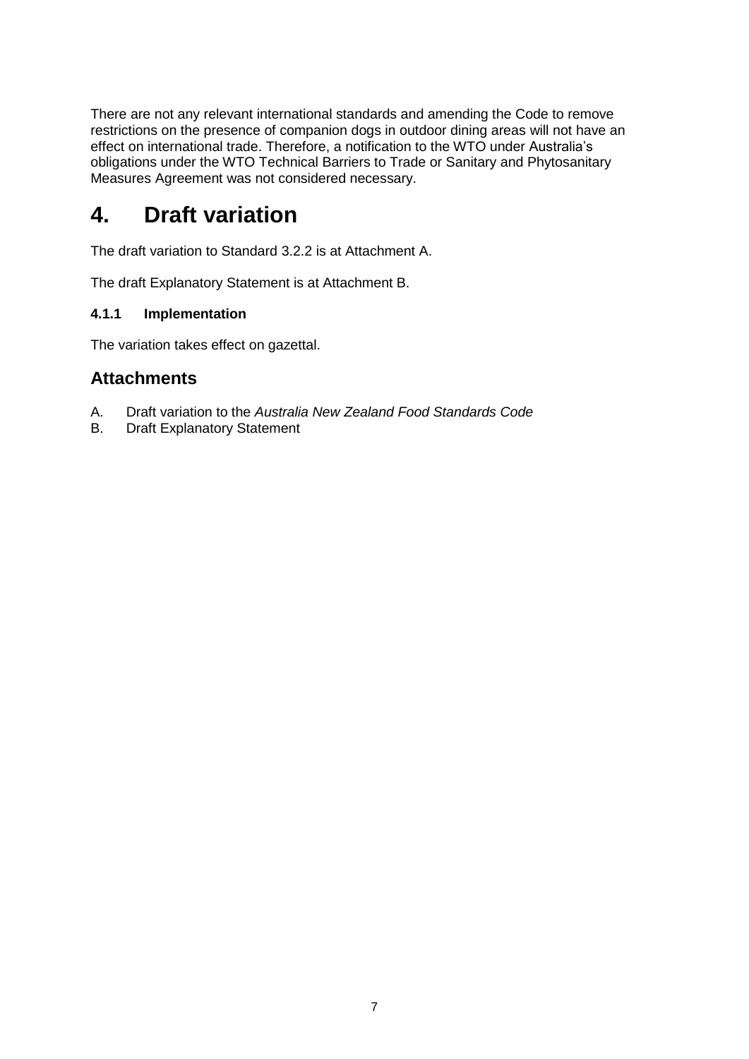There are not any relevant international standards and amending the Code to remove restrictions on the presence of companion dogs in outdoor dining areas will not have an effect on international trade. Therefore, a notification to the WTO under Australia's obligations under the WTO Technical Barriers to Trade or Sanitary and Phytosanitary Measures Agreement was not considered necessary.

# <span id="page-7-0"></span>**4. Draft variation**

The draft variation to Standard 3.2.2 is at Attachment A.

The draft Explanatory Statement is at Attachment B.

#### <span id="page-7-1"></span>**4.1.1 Implementation**

The variation takes effect on gazettal.

## **Attachments**

- A. Draft variation to the *Australia New Zealand Food Standards Code*
- B. Draft Explanatory Statement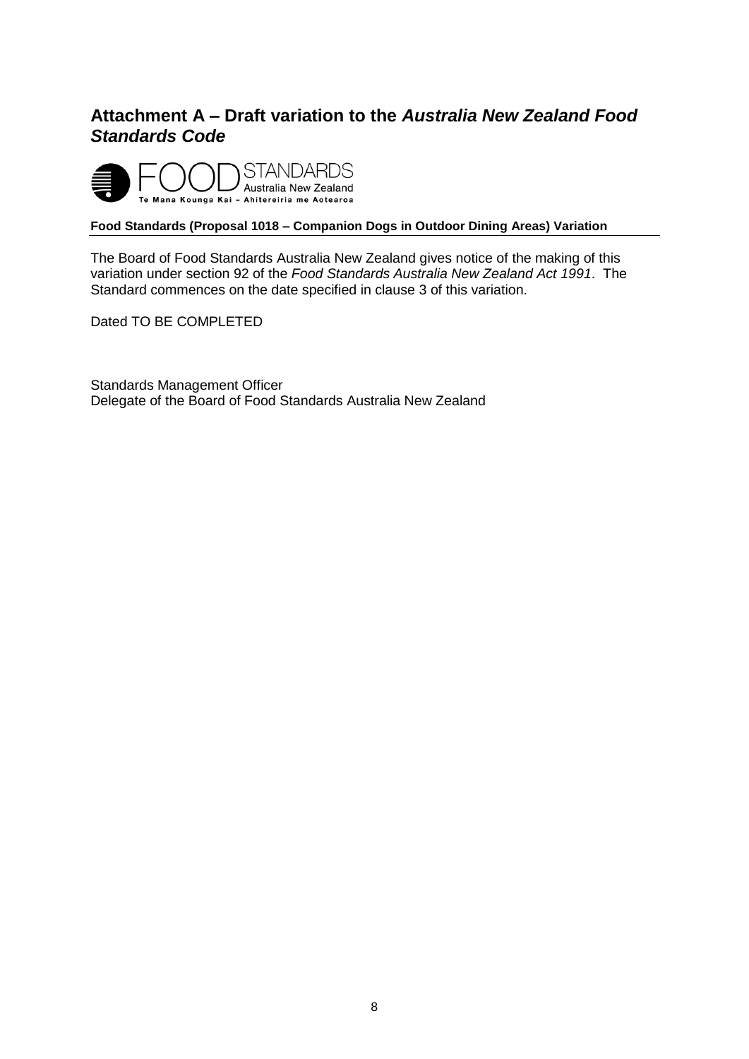# <span id="page-8-0"></span>**Attachment A – Draft variation to the** *Australia New Zealand Food Standards Code*



#### **Food Standards (Proposal 1018 – Companion Dogs in Outdoor Dining Areas) Variation**

The Board of Food Standards Australia New Zealand gives notice of the making of this variation under section 92 of the *Food Standards Australia New Zealand Act 1991*. The Standard commences on the date specified in clause 3 of this variation.

Dated TO BE COMPLETED

Standards Management Officer Delegate of the Board of Food Standards Australia New Zealand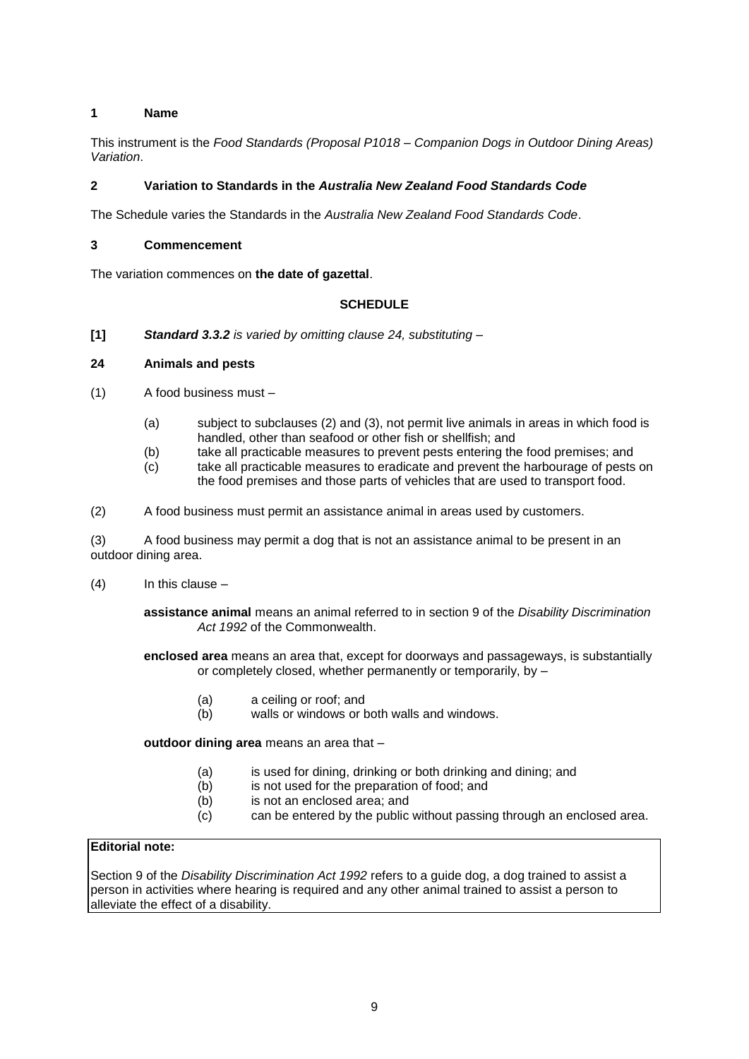#### **1 Name**

This instrument is the *Food Standards (Proposal P1018 – Companion Dogs in Outdoor Dining Areas) Variation*.

#### **2 Variation to Standards in the** *Australia New Zealand Food Standards Code*

The Schedule varies the Standards in the *Australia New Zealand Food Standards Code*.

#### **3 Commencement**

The variation commences on **the date of gazettal**.

#### **SCHEDULE**

**[1]** *Standard 3.3.2 is varied by omitting clause 24, substituting –*

#### **24 Animals and pests**

- (1) A food business must
	- (a) subject to subclauses (2) and (3), not permit live animals in areas in which food is handled, other than seafood or other fish or shellfish; and
	- (b) take all practicable measures to prevent pests entering the food premises; and
	- (c) take all practicable measures to eradicate and prevent the harbourage of pests on the food premises and those parts of vehicles that are used to transport food.
- (2) A food business must permit an assistance animal in areas used by customers.

(3) A food business may permit a dog that is not an assistance animal to be present in an outdoor dining area.

(4) In this clause –

**assistance animal** means an animal referred to in section 9 of the *Disability Discrimination Act 1992* of the Commonwealth.

**enclosed area** means an area that, except for doorways and passageways, is substantially or completely closed, whether permanently or temporarily, by –

- (a) a ceiling or roof; and
- (b) walls or windows or both walls and windows.

**outdoor dining area** means an area that –

- (a) is used for dining, drinking or both drinking and dining; and
- (b) is not used for the preparation of food; and
- (b) is not an enclosed area; and
- (c) can be entered by the public without passing through an enclosed area.

#### **Editorial note:**

Section 9 of the *Disability Discrimination Act 1992* refers to a guide dog, a dog trained to assist a person in activities where hearing is required and any other animal trained to assist a person to alleviate the effect of a disability.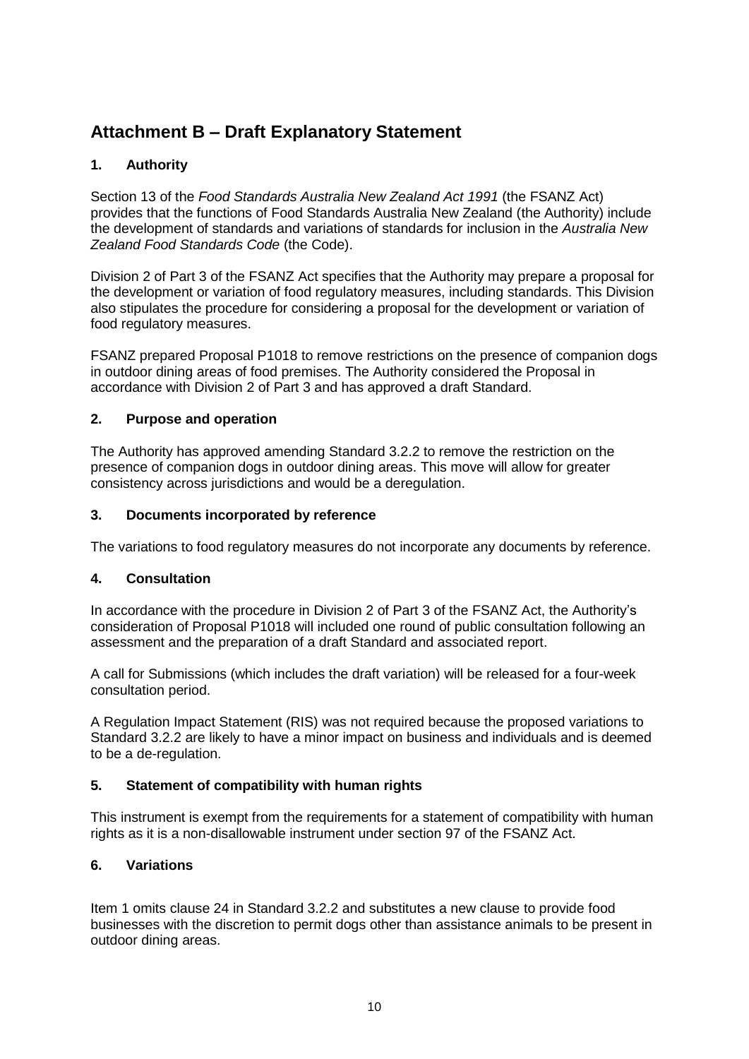# <span id="page-10-0"></span>**Attachment B – Draft Explanatory Statement**

## **1. Authority**

Section 13 of the *Food Standards Australia New Zealand Act 1991* (the FSANZ Act) provides that the functions of Food Standards Australia New Zealand (the Authority) include the development of standards and variations of standards for inclusion in the *Australia New Zealand Food Standards Code* (the Code).

Division 2 of Part 3 of the FSANZ Act specifies that the Authority may prepare a proposal for the development or variation of food regulatory measures, including standards. This Division also stipulates the procedure for considering a proposal for the development or variation of food regulatory measures.

FSANZ prepared Proposal P1018 to remove restrictions on the presence of companion dogs in outdoor dining areas of food premises. The Authority considered the Proposal in accordance with Division 2 of Part 3 and has approved a draft Standard.

#### **2. Purpose and operation**

The Authority has approved amending Standard 3.2.2 to remove the restriction on the presence of companion dogs in outdoor dining areas. This move will allow for greater consistency across jurisdictions and would be a deregulation.

#### **3. Documents incorporated by reference**

The variations to food regulatory measures do not incorporate any documents by reference.

#### **4. Consultation**

In accordance with the procedure in Division 2 of Part 3 of the FSANZ Act, the Authority's consideration of Proposal P1018 will included one round of public consultation following an assessment and the preparation of a draft Standard and associated report.

A call for Submissions (which includes the draft variation) will be released for a four-week consultation period.

A Regulation Impact Statement (RIS) was not required because the proposed variations to Standard 3.2.2 are likely to have a minor impact on business and individuals and is deemed to be a de-regulation.

#### **5. Statement of compatibility with human rights**

This instrument is exempt from the requirements for a statement of compatibility with human rights as it is a non-disallowable instrument under section 97 of the FSANZ Act.

#### **6. Variations**

Item 1 omits clause 24 in Standard 3.2.2 and substitutes a new clause to provide food businesses with the discretion to permit dogs other than assistance animals to be present in outdoor dining areas.